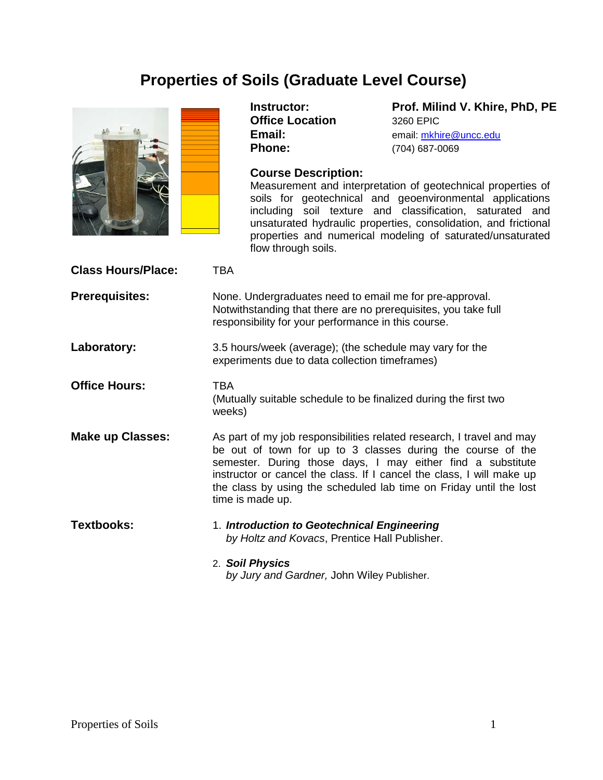# **Properties of Soils (Graduate Level Course)**



**Office Location** 3260 EPIC<br> **Email:** email: mkhi

**Instructor: Prof. Milind V. Khire, PhD, PE Email:** email: [mkhire@uncc.edu](mailto:mkhire@uncc.edu)<br> **Phone:** (704) 687-0069 **Phone:** (704) 687-0069

# **Course Description:**

Measurement and interpretation of geotechnical properties of soils for geotechnical and geoenvironmental applications including soil texture and classification, saturated and unsaturated hydraulic properties, consolidation, and frictional properties and numerical modeling of saturated/unsaturated flow through soils.

| <b>Class Hours/Place:</b> | TBA                                                                                                                                                                                                                                                                                                                                                                    |
|---------------------------|------------------------------------------------------------------------------------------------------------------------------------------------------------------------------------------------------------------------------------------------------------------------------------------------------------------------------------------------------------------------|
| <b>Prerequisites:</b>     | None. Undergraduates need to email me for pre-approval.<br>Notwithstanding that there are no prerequisites, you take full<br>responsibility for your performance in this course.                                                                                                                                                                                       |
| Laboratory:               | 3.5 hours/week (average); (the schedule may vary for the<br>experiments due to data collection timeframes)                                                                                                                                                                                                                                                             |
| <b>Office Hours:</b>      | <b>TBA</b><br>(Mutually suitable schedule to be finalized during the first two<br>weeks)                                                                                                                                                                                                                                                                               |
| <b>Make up Classes:</b>   | As part of my job responsibilities related research, I travel and may<br>be out of town for up to 3 classes during the course of the<br>semester. During those days, I may either find a substitute<br>instructor or cancel the class. If I cancel the class, I will make up<br>the class by using the scheduled lab time on Friday until the lost<br>time is made up. |
| <b>Textbooks:</b>         | 1. Introduction to Geotechnical Engineering<br>by Holtz and Kovacs, Prentice Hall Publisher.                                                                                                                                                                                                                                                                           |
|                           | 2. Soil Physics<br>by Jury and Gardner, John Wiley Publisher.                                                                                                                                                                                                                                                                                                          |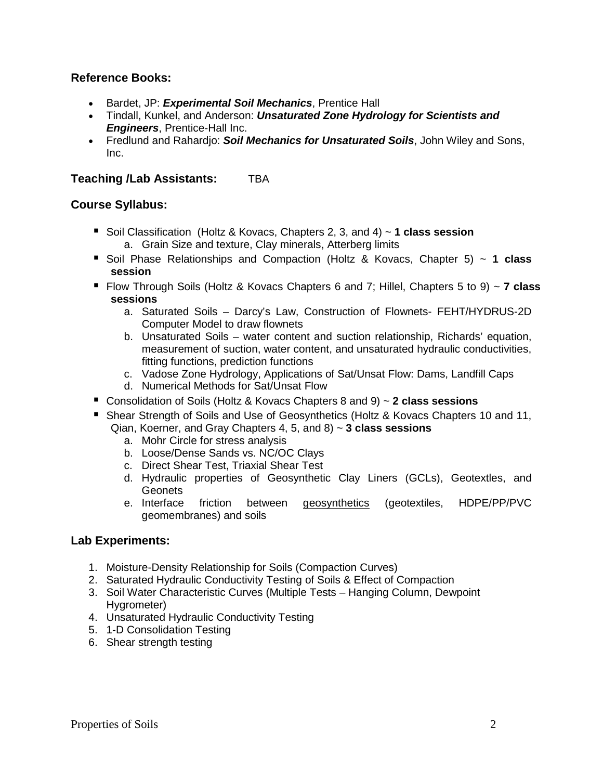# **Reference Books:**

- Bardet, JP: *Experimental Soil Mechanics*, Prentice Hall
- Tindall, Kunkel, and Anderson: *Unsaturated Zone Hydrology for Scientists and Engineers*, Prentice-Hall Inc.
- Fredlund and Rahardjo: *Soil Mechanics for Unsaturated Soils*, John Wiley and Sons, Inc.

# **Teaching /Lab Assistants: TBA**

## **Course Syllabus:**

- Soil Classification (Holtz & Kovacs, Chapters 2, 3, and 4) ~ **1 class session** a. Grain Size and texture, Clay minerals, Atterberg limits
- Soil Phase Relationships and Compaction (Holtz & Kovacs, Chapter 5) ~ 1 **class session**
- Flow Through Soils (Holtz & Kovacs Chapters 6 and 7; Hillel, Chapters 5 to 9) ~ **7 class sessions**
	- a. Saturated Soils Darcy's Law, Construction of Flownets- FEHT/HYDRUS-2D Computer Model to draw flownets
	- b. Unsaturated Soils water content and suction relationship, Richards' equation, measurement of suction, water content, and unsaturated hydraulic conductivities, fitting functions, prediction functions
	- c. Vadose Zone Hydrology, Applications of Sat/Unsat Flow: Dams, Landfill Caps
	- d. Numerical Methods for Sat/Unsat Flow
- Consolidation of Soils (Holtz & Kovacs Chapters 8 and 9) ~ **2 class sessions**
- **Shear Strength of Soils and Use of Geosynthetics (Holtz & Kovacs Chapters 10 and 11,** Qian, Koerner, and Gray Chapters 4, 5, and 8) ~ **3 class sessions**
	- a. Mohr Circle for stress analysis
	- b. Loose/Dense Sands vs. NC/OC Clays
	- c. Direct Shear Test, Triaxial Shear Test
	- d. Hydraulic properties of Geosynthetic Clay Liners (GCLs), Geotextles, and Geonets
	- e. Interface friction between geosynthetics (geotextiles, HDPE/PP/PVC geomembranes) and soils

# **Lab Experiments:**

- 1. Moisture-Density Relationship for Soils (Compaction Curves)
- 2. Saturated Hydraulic Conductivity Testing of Soils & Effect of Compaction
- 3. Soil Water Characteristic Curves (Multiple Tests Hanging Column, Dewpoint Hygrometer)
- 4. Unsaturated Hydraulic Conductivity Testing
- 5. 1-D Consolidation Testing
- 6. Shear strength testing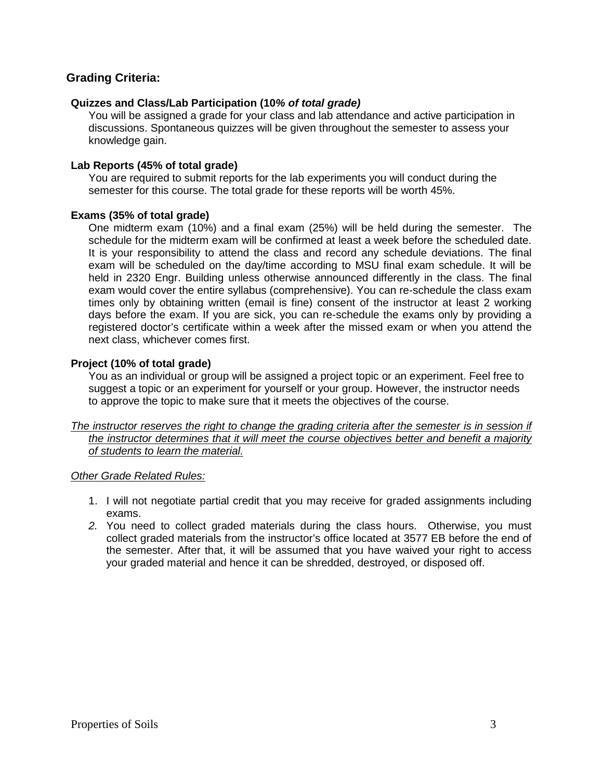# **Grading Criteria:**

## **Quizzes and Class/Lab Participation (10***% of total grade)*

You will be assigned a grade for your class and lab attendance and active participation in discussions. Spontaneous quizzes will be given throughout the semester to assess your knowledge gain.

#### **Lab Reports (45% of total grade)**

You are required to submit reports for the lab experiments you will conduct during the semester for this course. The total grade for these reports will be worth 45%.

#### **Exams (35% of total grade)**

One midterm exam (10%) and a final exam (25%) will be held during the semester. The schedule for the midterm exam will be confirmed at least a week before the scheduled date. It is your responsibility to attend the class and record any schedule deviations. The final exam will be scheduled on the day/time according to MSU final exam schedule. It will be held in 2320 Engr. Building unless otherwise announced differently in the class. The final exam would cover the entire syllabus (comprehensive). You can re-schedule the class exam times only by obtaining written (email is fine) consent of the instructor at least 2 working days before the exam. If you are sick, you can re-schedule the exams only by providing a registered doctor's certificate within a week after the missed exam or when you attend the next class, whichever comes first.

## **Project (10% of total grade)**

You as an individual or group will be assigned a project topic or an experiment. Feel free to suggest a topic or an experiment for yourself or your group. However, the instructor needs to approve the topic to make sure that it meets the objectives of the course.

*The instructor reserves the right to change the grading criteria after the semester is in session if the instructor determines that it will meet the course objectives better and benefit a majority of students to learn the material.*

#### *Other Grade Related Rules:*

- 1. I will not negotiate partial credit that you may receive for graded assignments including exams.
- *2.* You need to collect graded materials during the class hours. Otherwise, you must collect graded materials from the instructor's office located at 3577 EB before the end of the semester. After that, it will be assumed that you have waived your right to access your graded material and hence it can be shredded, destroyed, or disposed off.